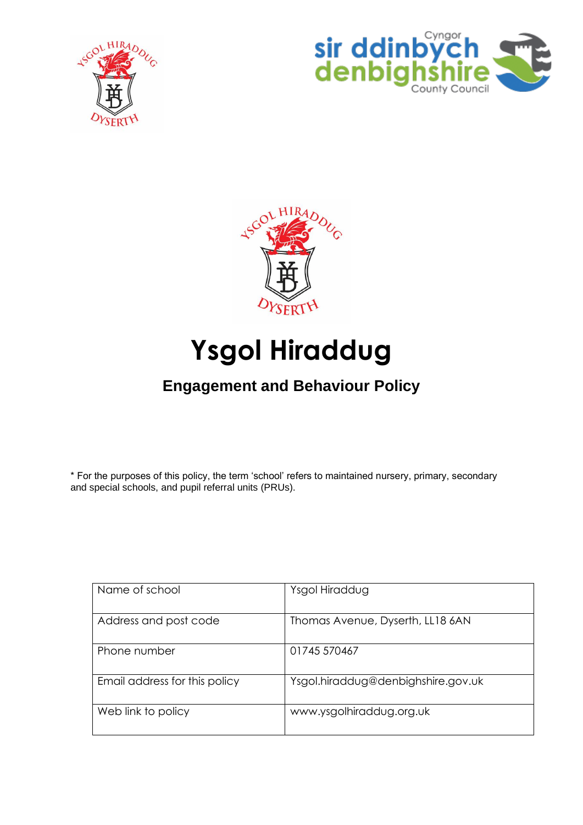





# **Ysgol Hiraddug**

# **Engagement and Behaviour Policy**

\* For the purposes of this policy, the term 'school' refers to maintained nursery, primary, secondary and special schools, and pupil referral units (PRUs).

| Name of school                | Ysgol Hiraddug                     |
|-------------------------------|------------------------------------|
| Address and post code         | Thomas Avenue, Dyserth, LL18 6AN   |
| Phone number                  | 01745 570467                       |
| Email address for this policy | Ysgol.hiraddug@denbighshire.gov.uk |
| Web link to policy            | www.ysgolhiraddug.org.uk           |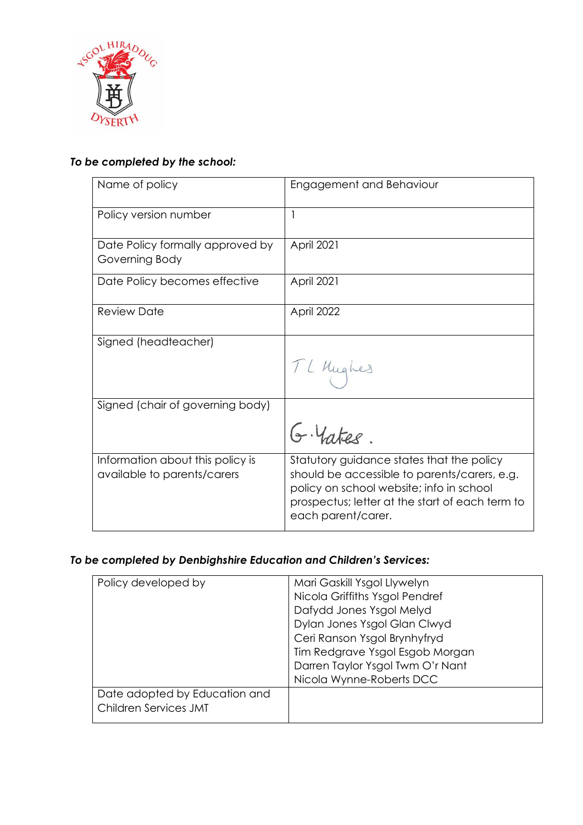

### *To be completed by the school:*

| Name of policy                                                  | Engagement and Behaviour                                                                                                                                                                                       |
|-----------------------------------------------------------------|----------------------------------------------------------------------------------------------------------------------------------------------------------------------------------------------------------------|
| Policy version number                                           |                                                                                                                                                                                                                |
| Date Policy formally approved by<br>Governing Body              | <b>April 2021</b>                                                                                                                                                                                              |
| Date Policy becomes effective                                   | <b>April 2021</b>                                                                                                                                                                                              |
| <b>Review Date</b>                                              | April 2022                                                                                                                                                                                                     |
| Signed (headteacher)                                            | T L Kughes                                                                                                                                                                                                     |
| Signed (chair of governing body)                                | G. Yates.                                                                                                                                                                                                      |
| Information about this policy is<br>available to parents/carers | Statutory guidance states that the policy<br>should be accessible to parents/carers, e.g.<br>policy on school website; info in school<br>prospectus; letter at the start of each term to<br>each parent/carer. |

### *To be completed by Denbighshire Education and Children's Services:*

| Policy developed by                                           | Mari Gaskill Ysgol Llywelyn<br>Nicola Griffiths Ysgol Pendref<br>Dafydd Jones Ysgol Melyd<br>Dylan Jones Ysgol Glan Clwyd<br>Ceri Ranson Ysgol Brynhyfryd<br>Tim Redgrave Ysgol Esgob Morgan<br>Darren Taylor Ysgol Twm O'r Nant |
|---------------------------------------------------------------|----------------------------------------------------------------------------------------------------------------------------------------------------------------------------------------------------------------------------------|
|                                                               | Nicola Wynne-Roberts DCC                                                                                                                                                                                                         |
| Date adopted by Education and<br><b>Children Services JMT</b> |                                                                                                                                                                                                                                  |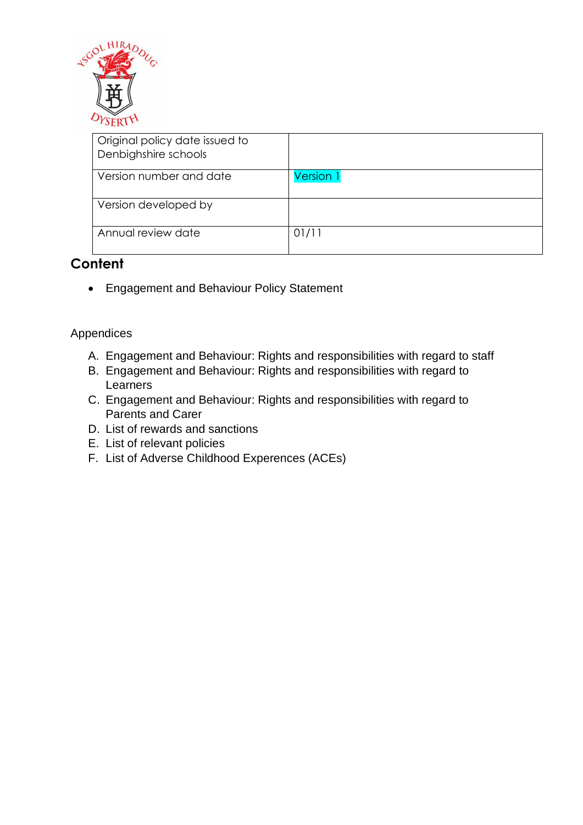

| Original policy date issued to<br>Denbighshire schools |           |
|--------------------------------------------------------|-----------|
| Version number and date                                | Version 1 |
| Version developed by                                   |           |
| Annual review date                                     | 01/11     |

### **Content**

• Engagement and Behaviour Policy Statement

### Appendices

- A. Engagement and Behaviour: Rights and responsibilities with regard to staff
- B. Engagement and Behaviour: Rights and responsibilities with regard to Learners
- C. Engagement and Behaviour: Rights and responsibilities with regard to Parents and Carer
- D. List of rewards and sanctions
- E. List of relevant policies
- F. List of Adverse Childhood Experences (ACEs)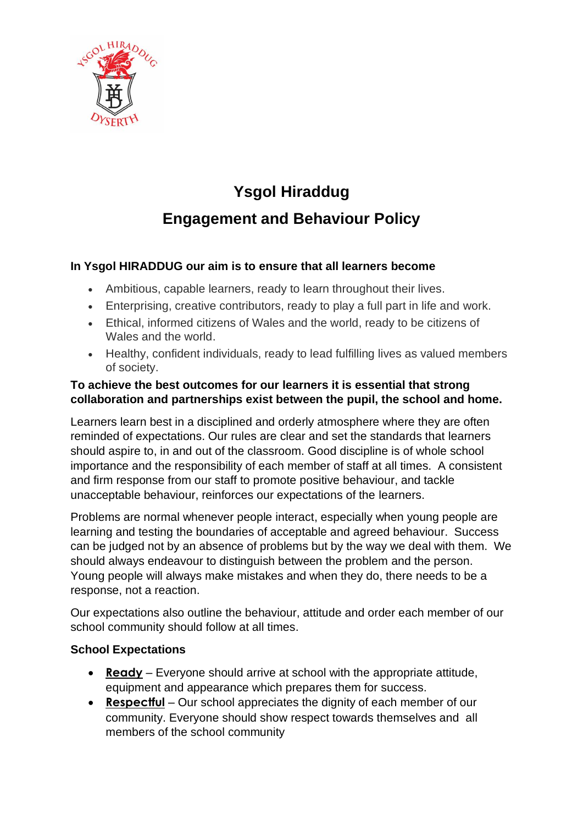

# **Ysgol Hiraddug Engagement and Behaviour Policy**

### **In Ysgol HIRADDUG our aim is to ensure that all learners become**

- Ambitious, capable learners, ready to learn throughout their lives.
- Enterprising, creative contributors, ready to play a full part in life and work.
- Ethical, informed citizens of Wales and the world, ready to be citizens of Wales and the world.
- Healthy, confident individuals, ready to lead fulfilling lives as valued members of society.

### **To achieve the best outcomes for our learners it is essential that strong collaboration and partnerships exist between the pupil, the school and home.**

Learners learn best in a disciplined and orderly atmosphere where they are often reminded of expectations. Our rules are clear and set the standards that learners should aspire to, in and out of the classroom. Good discipline is of whole school importance and the responsibility of each member of staff at all times. A consistent and firm response from our staff to promote positive behaviour, and tackle unacceptable behaviour, reinforces our expectations of the learners.

Problems are normal whenever people interact, especially when young people are learning and testing the boundaries of acceptable and agreed behaviour. Success can be judged not by an absence of problems but by the way we deal with them. We should always endeavour to distinguish between the problem and the person. Young people will always make mistakes and when they do, there needs to be a response, not a reaction.

Our expectations also outline the behaviour, attitude and order each member of our school community should follow at all times.

### **School Expectations**

- **Ready** Everyone should arrive at school with the appropriate attitude, equipment and appearance which prepares them for success.
- **Respectful** Our school appreciates the dignity of each member of our community. Everyone should show respect towards themselves and all members of the school community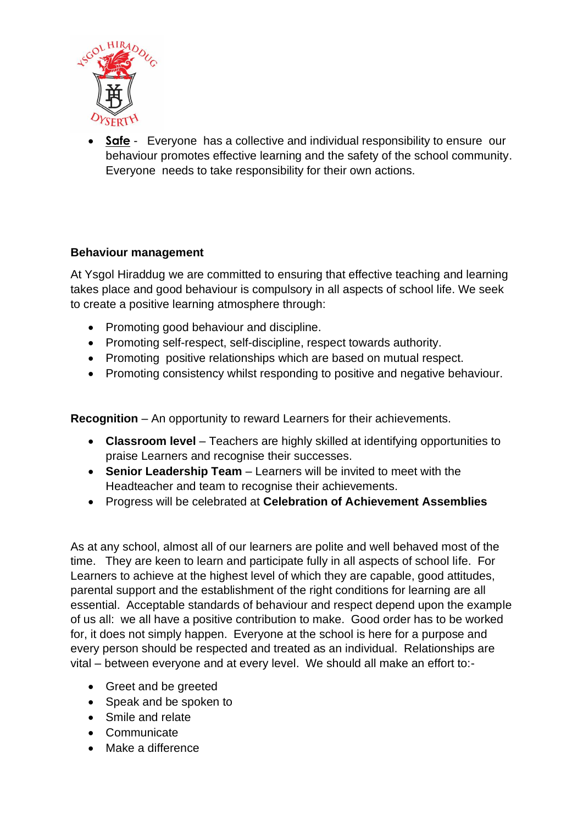

• **Safe** - Everyone has a collective and individual responsibility to ensure our behaviour promotes effective learning and the safety of the school community. Everyone needs to take responsibility for their own actions.

### **Behaviour management**

At Ysgol Hiraddug we are committed to ensuring that effective teaching and learning takes place and good behaviour is compulsory in all aspects of school life. We seek to create a positive learning atmosphere through:

- Promoting good behaviour and discipline.
- Promoting self-respect, self-discipline, respect towards authority.
- Promoting positive relationships which are based on mutual respect.
- Promoting consistency whilst responding to positive and negative behaviour.

**Recognition** – An opportunity to reward Learners for their achievements.

- **Classroom level** Teachers are highly skilled at identifying opportunities to praise Learners and recognise their successes.
- **Senior Leadership Team** Learners will be invited to meet with the Headteacher and team to recognise their achievements.
- Progress will be celebrated at **Celebration of Achievement Assemblies**

As at any school, almost all of our learners are polite and well behaved most of the time. They are keen to learn and participate fully in all aspects of school life. For Learners to achieve at the highest level of which they are capable, good attitudes, parental support and the establishment of the right conditions for learning are all essential. Acceptable standards of behaviour and respect depend upon the example of us all: we all have a positive contribution to make. Good order has to be worked for, it does not simply happen. Everyone at the school is here for a purpose and every person should be respected and treated as an individual. Relationships are vital – between everyone and at every level. We should all make an effort to:-

- Greet and be greeted
- Speak and be spoken to
- Smile and relate
- Communicate
- Make a difference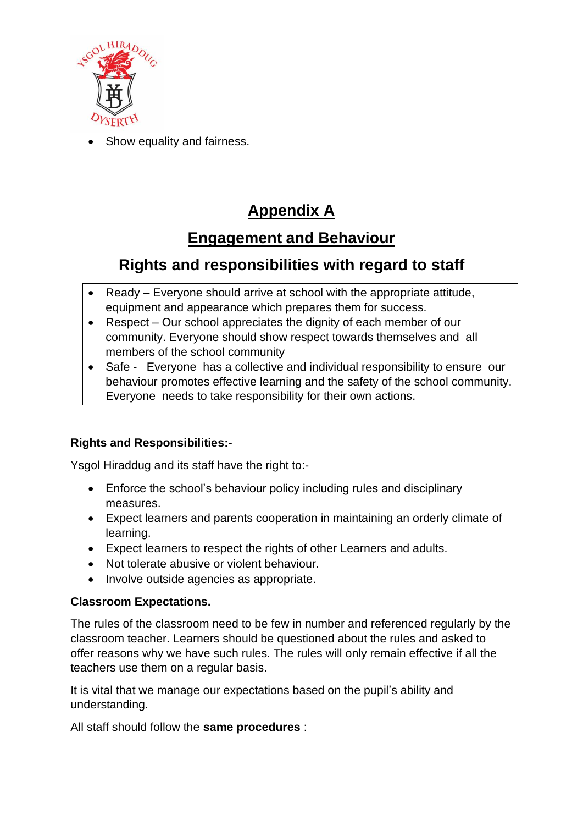

Show equality and fairness.

# **Appendix A**

### **Engagement and Behaviour**

### **Rights and responsibilities with regard to staff**

- Ready Everyone should arrive at school with the appropriate attitude, equipment and appearance which prepares them for success.
- Respect Our school appreciates the dignity of each member of our community. Everyone should show respect towards themselves and all members of the school community
- Safe Everyone has a collective and individual responsibility to ensure our behaviour promotes effective learning and the safety of the school community. Everyone needs to take responsibility for their own actions.

### **Rights and Responsibilities:-**

Ysgol Hiraddug and its staff have the right to:-

- Enforce the school's behaviour policy including rules and disciplinary measures.
- Expect learners and parents cooperation in maintaining an orderly climate of learning.
- Expect learners to respect the rights of other Learners and adults.
- Not tolerate abusive or violent behaviour.
- Involve outside agencies as appropriate.

### **Classroom Expectations.**

The rules of the classroom need to be few in number and referenced regularly by the classroom teacher. Learners should be questioned about the rules and asked to offer reasons why we have such rules. The rules will only remain effective if all the teachers use them on a regular basis.

It is vital that we manage our expectations based on the pupil's ability and understanding.

All staff should follow the **same procedures** :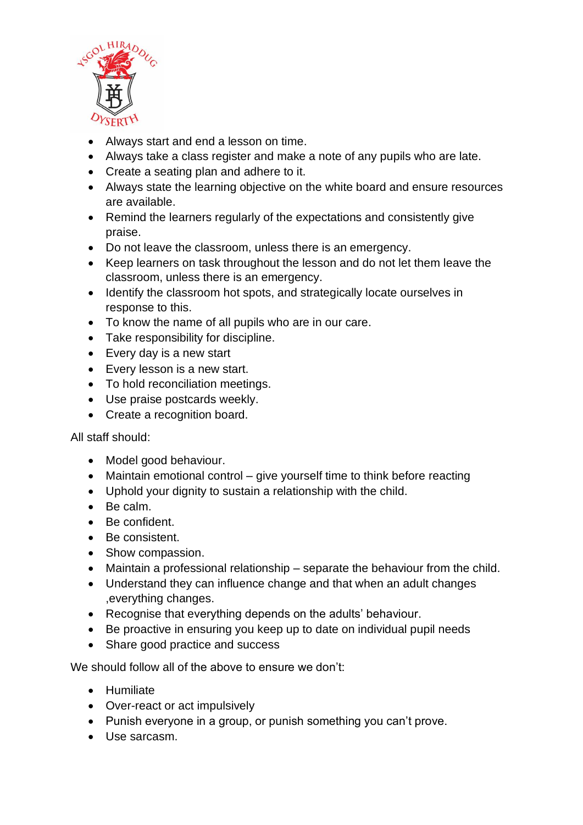

- Always start and end a lesson on time.
- Always take a class register and make a note of any pupils who are late.
- Create a seating plan and adhere to it.
- Always state the learning objective on the white board and ensure resources are available.
- Remind the learners regularly of the expectations and consistently give praise.
- Do not leave the classroom, unless there is an emergency.
- Keep learners on task throughout the lesson and do not let them leave the classroom, unless there is an emergency.
- Identify the classroom hot spots, and strategically locate ourselves in response to this.
- To know the name of all pupils who are in our care.
- Take responsibility for discipline.
- Every day is a new start
- Every lesson is a new start.
- To hold reconciliation meetings.
- Use praise postcards weekly.
- Create a recognition board.

All staff should:

- Model good behaviour.
- Maintain emotional control give yourself time to think before reacting
- Uphold your dignity to sustain a relationship with the child.
- Be calm.
- Be confident.
- Be consistent.
- Show compassion.
- Maintain a professional relationship separate the behaviour from the child.
- Understand they can influence change and that when an adult changes ,everything changes.
- Recognise that everything depends on the adults' behaviour.
- Be proactive in ensuring you keep up to date on individual pupil needs
- Share good practice and success

We should follow all of the above to ensure we don't:

- Humiliate
- Over-react or act impulsively
- Punish everyone in a group, or punish something you can't prove.
- Use sarcasm.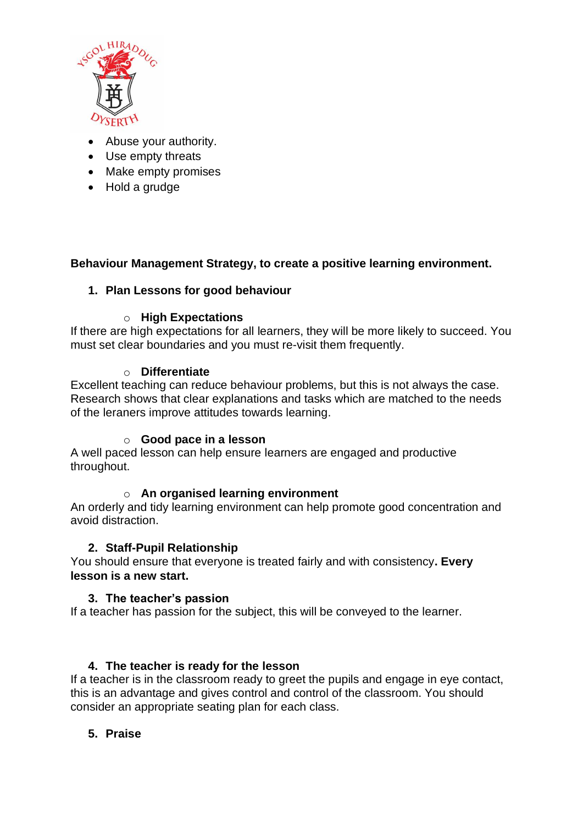

- Abuse your authority.
- Use empty threats
- Make empty promises
- Hold a grudge

### **Behaviour Management Strategy, to create a positive learning environment.**

### **1. Plan Lessons for good behaviour**

#### o **High Expectations**

If there are high expectations for all learners, they will be more likely to succeed. You must set clear boundaries and you must re-visit them frequently.

#### o **Differentiate**

Excellent teaching can reduce behaviour problems, but this is not always the case. Research shows that clear explanations and tasks which are matched to the needs of the leraners improve attitudes towards learning.

#### o **Good pace in a lesson**

A well paced lesson can help ensure learners are engaged and productive throughout.

### o **An organised learning environment**

An orderly and tidy learning environment can help promote good concentration and avoid distraction.

#### **2. Staff-Pupil Relationship**

You should ensure that everyone is treated fairly and with consistency**. Every lesson is a new start.**

#### **3. The teacher's passion**

If a teacher has passion for the subject, this will be conveyed to the learner.

### **4. The teacher is ready for the lesson**

If a teacher is in the classroom ready to greet the pupils and engage in eye contact, this is an advantage and gives control and control of the classroom. You should consider an appropriate seating plan for each class.

### **5. Praise**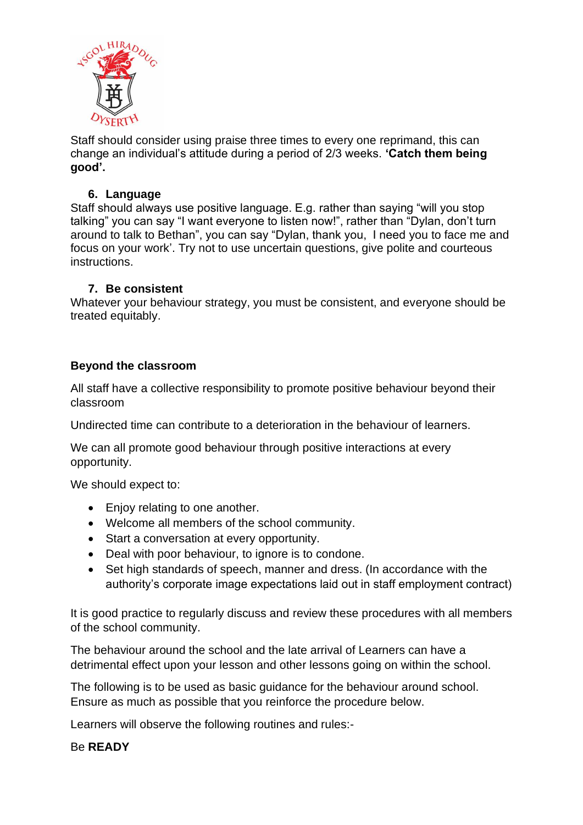

Staff should consider using praise three times to every one reprimand, this can change an individual's attitude during a period of 2/3 weeks. **'Catch them being good'.**

### **6. Language**

Staff should always use positive language. E.g. rather than saying "will you stop talking" you can say "I want everyone to listen now!", rather than "Dylan, don't turn around to talk to Bethan", you can say "Dylan, thank you, I need you to face me and focus on your work'. Try not to use uncertain questions, give polite and courteous instructions.

### **7. Be consistent**

Whatever your behaviour strategy, you must be consistent, and everyone should be treated equitably.

### **Beyond the classroom**

All staff have a collective responsibility to promote positive behaviour beyond their classroom

Undirected time can contribute to a deterioration in the behaviour of learners.

We can all promote good behaviour through positive interactions at every opportunity.

We should expect to:

- Enjoy relating to one another.
- Welcome all members of the school community.
- Start a conversation at every opportunity.
- Deal with poor behaviour, to ignore is to condone.
- Set high standards of speech, manner and dress. (In accordance with the authority's corporate image expectations laid out in staff employment contract)

It is good practice to regularly discuss and review these procedures with all members of the school community.

The behaviour around the school and the late arrival of Learners can have a detrimental effect upon your lesson and other lessons going on within the school.

The following is to be used as basic guidance for the behaviour around school. Ensure as much as possible that you reinforce the procedure below.

Learners will observe the following routines and rules:-

Be **READY**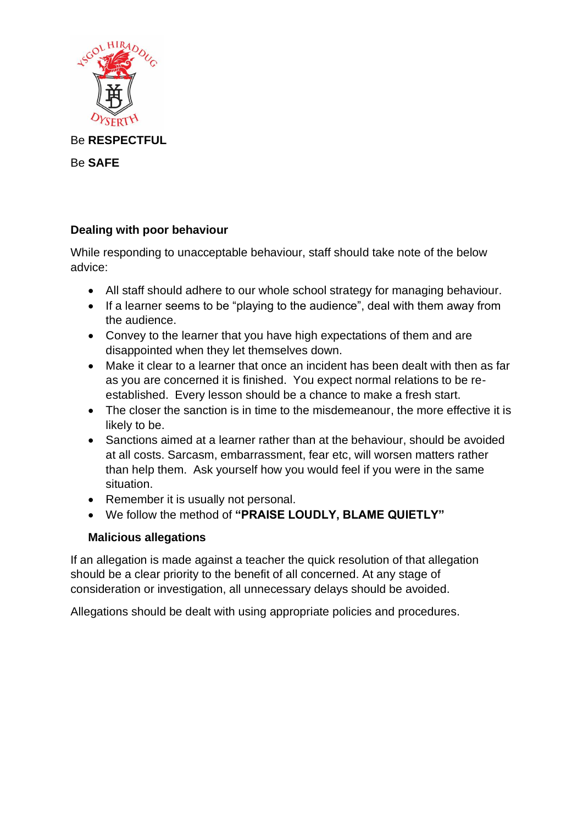

Be **RESPECTFUL**

Be **SAFE**

### **Dealing with poor behaviour**

While responding to unacceptable behaviour, staff should take note of the below advice:

- All staff should adhere to our whole school strategy for managing behaviour.
- If a learner seems to be "playing to the audience", deal with them away from the audience.
- Convey to the learner that you have high expectations of them and are disappointed when they let themselves down.
- Make it clear to a learner that once an incident has been dealt with then as far as you are concerned it is finished. You expect normal relations to be reestablished. Every lesson should be a chance to make a fresh start.
- The closer the sanction is in time to the misdemeanour, the more effective it is likely to be.
- Sanctions aimed at a learner rather than at the behaviour, should be avoided at all costs. Sarcasm, embarrassment, fear etc, will worsen matters rather than help them. Ask yourself how you would feel if you were in the same situation.
- Remember it is usually not personal.
- We follow the method of **"PRAISE LOUDLY, BLAME QUIETLY"**

### **Malicious allegations**

If an allegation is made against a teacher the quick resolution of that allegation should be a clear priority to the benefit of all concerned. At any stage of consideration or investigation, all unnecessary delays should be avoided.

Allegations should be dealt with using appropriate policies and procedures.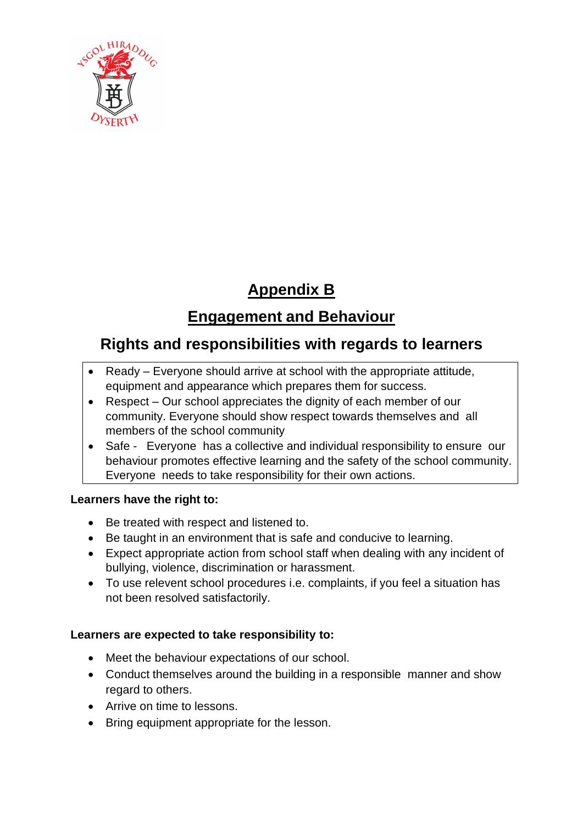

# **Appendix B**

# **Engagement and Behaviour**

### **Rights and responsibilities with regards to learners**

- Ready Everyone should arrive at school with the appropriate attitude, equipment and appearance which prepares them for success.
- Respect Our school appreciates the dignity of each member of our community. Everyone should show respect towards themselves and all members of the school community
- Safe Everyone has a collective and individual responsibility to ensure our behaviour promotes effective learning and the safety of the school community. Everyone needs to take responsibility for their own actions.

### **Learners have the right to:**

- Be treated with respect and listened to.
- Be taught in an environment that is safe and conducive to learning.
- Expect appropriate action from school staff when dealing with any incident of bullying, violence, discrimination or harassment.
- To use relevent school procedures i.e. complaints, if you feel a situation has not been resolved satisfactorily.

### **Learners are expected to take responsibility to:**

- Meet the behaviour expectations of our school.
- Conduct themselves around the building in a responsible manner and show regard to others.
- Arrive on time to lessons.
- Bring equipment appropriate for the lesson.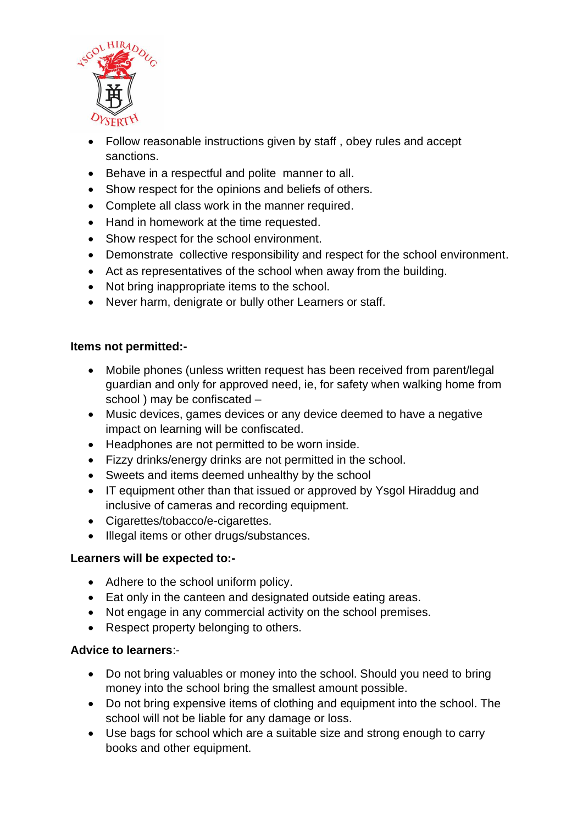

- Follow reasonable instructions given by staff , obey rules and accept sanctions.
- Behave in a respectful and polite manner to all.
- Show respect for the opinions and beliefs of others.
- Complete all class work in the manner required.
- Hand in homework at the time requested.
- Show respect for the school environment.
- Demonstrate collective responsibility and respect for the school environment.
- Act as representatives of the school when away from the building.
- Not bring inappropriate items to the school.
- Never harm, denigrate or bully other Learners or staff.

#### **Items not permitted:-**

- Mobile phones (unless written request has been received from parent/legal guardian and only for approved need, ie, for safety when walking home from school ) may be confiscated –
- Music devices, games devices or any device deemed to have a negative impact on learning will be confiscated.
- Headphones are not permitted to be worn inside.
- Fizzy drinks/energy drinks are not permitted in the school.
- Sweets and items deemed unhealthy by the school
- IT equipment other than that issued or approved by Ysgol Hiraddug and inclusive of cameras and recording equipment.
- Cigarettes/tobacco/e-cigarettes.
- Illegal items or other drugs/substances.

### **Learners will be expected to:-**

- Adhere to the school uniform policy.
- Eat only in the canteen and designated outside eating areas.
- Not engage in any commercial activity on the school premises.
- Respect property belonging to others.

#### **Advice to learners**:-

- Do not bring valuables or money into the school. Should you need to bring money into the school bring the smallest amount possible.
- Do not bring expensive items of clothing and equipment into the school. The school will not be liable for any damage or loss.
- Use bags for school which are a suitable size and strong enough to carry books and other equipment.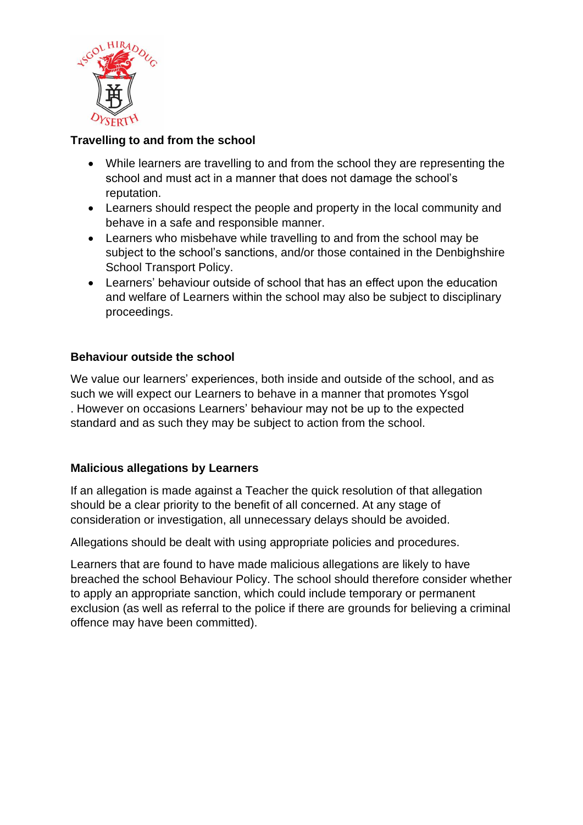

### **Travelling to and from the school**

- While learners are travelling to and from the school they are representing the school and must act in a manner that does not damage the school's reputation.
- Learners should respect the people and property in the local community and behave in a safe and responsible manner.
- Learners who misbehave while travelling to and from the school may be subject to the school's sanctions, and/or those contained in the Denbighshire School Transport Policy.
- Learners' behaviour outside of school that has an effect upon the education and welfare of Learners within the school may also be subject to disciplinary proceedings.

### **Behaviour outside the school**

We value our learners' experiences, both inside and outside of the school, and as such we will expect our Learners to behave in a manner that promotes Ysgol . However on occasions Learners' behaviour may not be up to the expected standard and as such they may be subject to action from the school.

### **Malicious allegations by Learners**

If an allegation is made against a Teacher the quick resolution of that allegation should be a clear priority to the benefit of all concerned. At any stage of consideration or investigation, all unnecessary delays should be avoided.

Allegations should be dealt with using appropriate policies and procedures.

Learners that are found to have made malicious allegations are likely to have breached the school Behaviour Policy. The school should therefore consider whether to apply an appropriate sanction, which could include temporary or permanent exclusion (as well as referral to the police if there are grounds for believing a criminal offence may have been committed).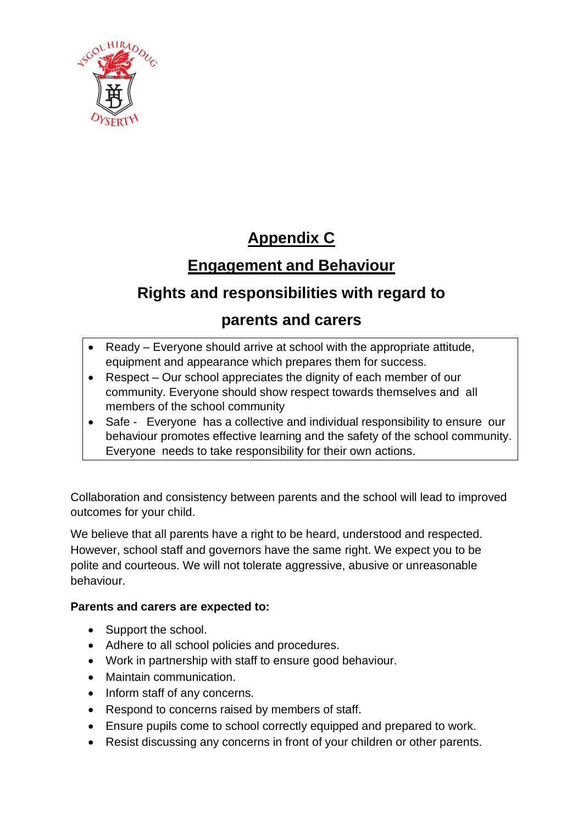

### **Appendix C**

# **Engagement and Behaviour**

### **Rights and responsibilities with regard to**

### **parents and carers**

- Ready Everyone should arrive at school with the appropriate attitude, equipment and appearance which prepares them for success.
- Respect Our school appreciates the dignity of each member of our community. Everyone should show respect towards themselves and all members of the school community
- Safe Everyone has a collective and individual responsibility to ensure our behaviour promotes effective learning and the safety of the school community. Everyone needs to take responsibility for their own actions.

Collaboration and consistency between parents and the school will lead to improved outcomes for your child.

We believe that all parents have a right to be heard, understood and respected. However, school staff and governors have the same right. We expect you to be polite and courteous. We will not tolerate aggressive, abusive or unreasonable behaviour.

### **Parents and carers are expected to:**

- Support the school.
- Adhere to all school policies and procedures.
- Work in partnership with staff to ensure good behaviour.
- Maintain communication.
- Inform staff of any concerns.
- Respond to concerns raised by members of staff.
- Ensure pupils come to school correctly equipped and prepared to work.
- Resist discussing any concerns in front of your children or other parents.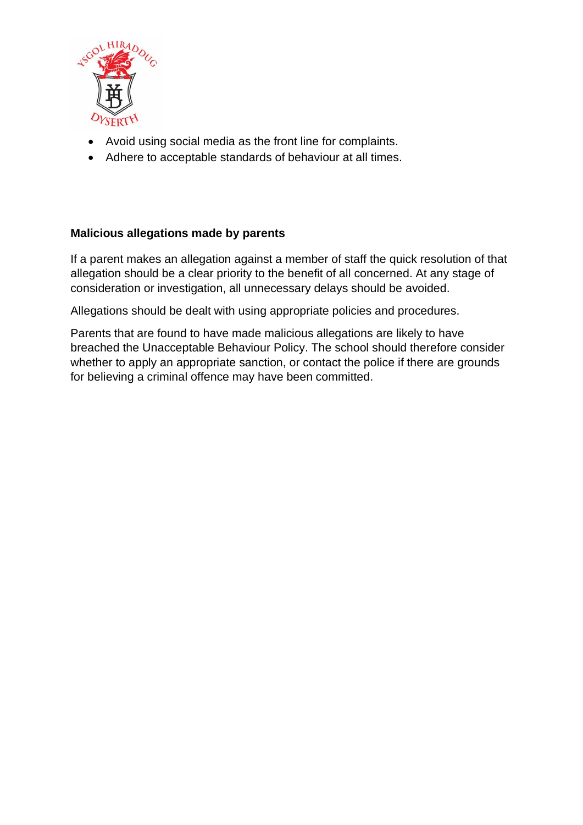

- Avoid using social media as the front line for complaints.
- Adhere to acceptable standards of behaviour at all times.

#### **Malicious allegations made by parents**

If a parent makes an allegation against a member of staff the quick resolution of that allegation should be a clear priority to the benefit of all concerned. At any stage of consideration or investigation, all unnecessary delays should be avoided.

Allegations should be dealt with using appropriate policies and procedures.

Parents that are found to have made malicious allegations are likely to have breached the Unacceptable Behaviour Policy. The school should therefore consider whether to apply an appropriate sanction, or contact the police if there are grounds for believing a criminal offence may have been committed.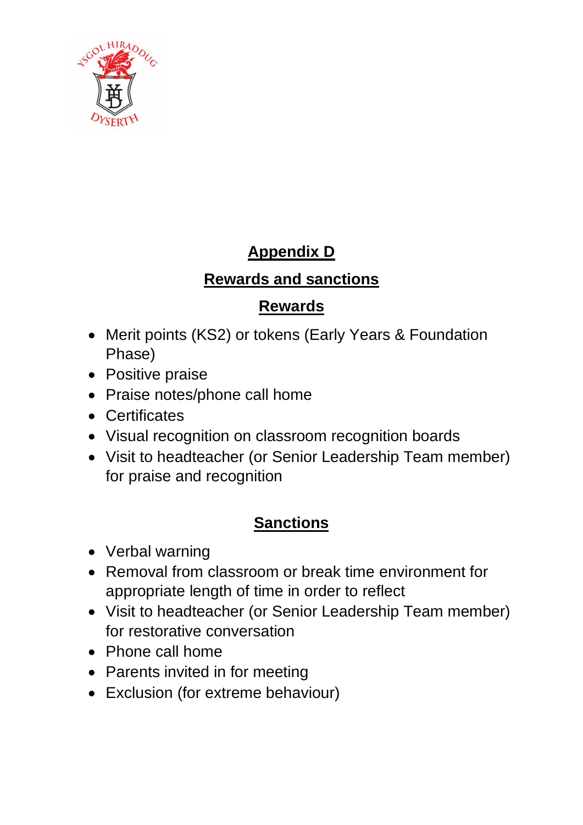

# **Appendix D**

### **Rewards and sanctions**

### **Rewards**

- Merit points (KS2) or tokens (Early Years & Foundation Phase)
- Positive praise
- Praise notes/phone call home
- Certificates
- Visual recognition on classroom recognition boards
- Visit to headteacher (or Senior Leadership Team member) for praise and recognition

# **Sanctions**

- Verbal warning
- Removal from classroom or break time environment for appropriate length of time in order to reflect
- Visit to headteacher (or Senior Leadership Team member) for restorative conversation
- Phone call home
- Parents invited in for meeting
- Exclusion (for extreme behaviour)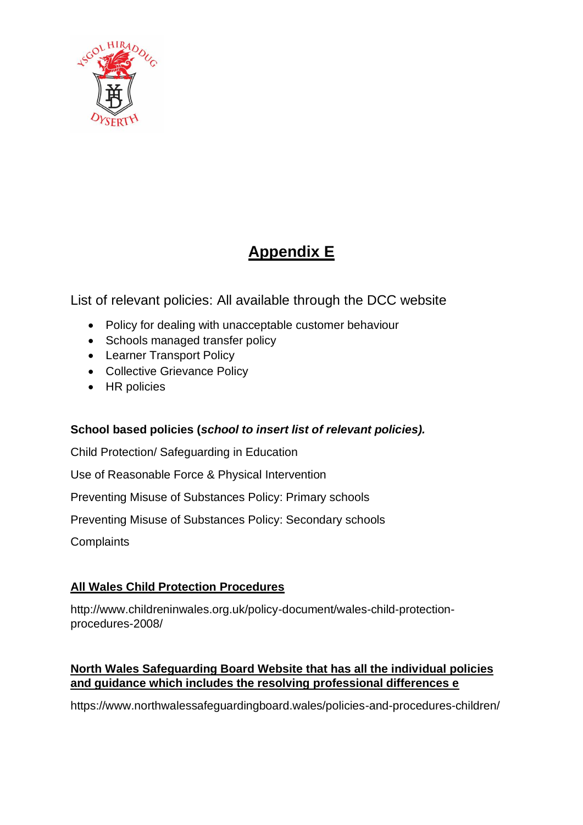

# **Appendix E**

List of relevant policies: All available through the DCC website

- [Policy for dealing with unacceptable customer behaviour](https://www.denbighshire.gov.uk/en/your-council/strategies-plans-and-policies/policy-for-dealing-with-unacceptable-customer-behaviour.pdf)
- Schools managed transfer policy
- Learner Transport Policy
- Collective Grievance Policy
- HR policies

### **School based policies (***school to insert list of relevant policies).*

[Child Protection/ Safeguarding in Education](https://www.denbighshire.gov.uk/en/your-council/strategies-plans-and-policies/education-and-schools/policies/statutory-policies-for-schools/child-protection-safeguarding-in-education.docx) 

[Use of Reasonable Force & Physical Intervention](https://www.denbighshire.gov.uk/en/your-council/strategies-plans-and-policies/education-and-schools/policies/non-statutory-recommended-policies-for-schools/use-of-reasonable-force-physical-intervention.doc) 

[Preventing Misuse of Substances Policy: Primary schools](https://www.denbighshire.gov.uk/en/your-council/strategies-plans-and-policies/education-and-schools/policies/non-statutory-recommended-policies-for-schools/preventing-misuse-of-substances-policy-primary-schools.doc) 

[Preventing Misuse of Substances Policy: Secondary schools](https://www.denbighshire.gov.uk/en/your-council/strategies-plans-and-policies/education-and-schools/policies/non-statutory-recommended-policies-for-schools/preventing-misuse-of-substances-policy-secondary-schools.doc) 

**[Complaints](https://www.denbighshire.gov.uk/en/your-council/strategies-plans-and-policies/education-and-schools/policies/statutory-policies-for-schools/complaints-model-policy-v2.docx)** 

### **All Wales Child Protection Procedures**

[http://www.childreninwales.org.uk/policy-document/wales-child-protection](http://www.childreninwales.org.uk/policy-document/wales-child-protection-procedures-2008/)[procedures-2008/](http://www.childreninwales.org.uk/policy-document/wales-child-protection-procedures-2008/)

### **North Wales Safeguarding Board Website that has all the individual policies and guidance which includes the resolving professional differences e**

<https://www.northwalessafeguardingboard.wales/policies-and-procedures-children/>